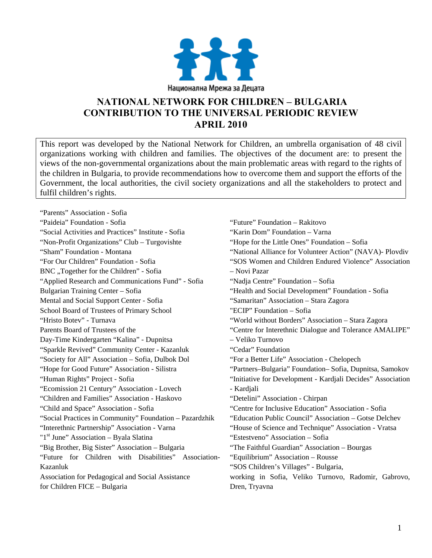

# **NATIONAL NETWORK FOR CHILDREN – BULGARIA CONTRIBUTION TO THE UNIVERSAL PERIODIC REVIEW APRIL 2010**

This report was developed by the National Network for Children, an umbrella organisation of 48 civil organizations working with children and families. The objectives of the document are: to present the views of the non-governmental organizations about the main problematic areas with regard to the rights of the children in Bulgaria, to provide recommendations how to overcome them and support the efforts of the Government, the local authorities, the civil society organizations and all the stakeholders to protect and fulfil children's rights.

"Parents" Association - Sofia "Paideia" Foundation - Sofia "Social Activities and Practices" Institute - Sofia "Non-Profit Organizations" Club – Turgovishte "Sham" Foundation - Montana "For Our Children" Foundation - Sofia BNC "Together for the Children" - Sofia "Applied Research and Communications Fund" - Sofia Bulgarian Training Center – Sofia Mental and Social Support Center - Sofia School Board of Trustees of Primary School "Hristo Botev" - Turnava Parents Board of Trustees of the Day-Time Kindergarten "Kalina" - Dupnitsa "Sparkle Revived" Community Center - Kazanluk "Society for All" Association – Sofia, Dulbok Dol "Hope for Good Future" Association - Silistra "Human Rights" Project - Sofia "Ecomission 21 Century" Association - Lovech "Children and Families" Association - Haskovo "Child and Space" Association - Sofia "Social Practices in Community" Foundation – Pazardzhik "Interethnic Partnership" Association - Varna "1<sup>st</sup> June" Association – Byala Slatina "Big Brother, Big Sister" Association – Bulgaria "Future for Children with Disabilities" Association-Kazanluk Association for Pedagogical and Social Assistance for Children FICE – Bulgaria

"Future" Foundation – Rakitovo "Karin Dom" Foundation – Varna "Hope for the Little Ones" Foundation – Sofia "National Alliance for Volunteer Action" (NAVA)- Plovdiv "SOS Women and Children Endured Violence" Association – Novi Pazar "Nadja Centre" Foundation – Sofia "Health and Social Development" Foundation - Sofia "Samaritan" Association – Stara Zagora "ECIP" Foundation – Sofia "World without Borders" Association – Stara Zagora "Centre for Interethnic Dialogue and Tolerance AMALIPE" – Veliko Turnovo "Cedar" Foundation "For a Better Life" Association - Chelopech "Partners–Bulgaria" Foundation– Sofia, Dupnitsa, Samokov "Initiative for Development - Kardjali Decides" Association - Kardjali "Detelini" Association - Chirpan "Centre for Inclusive Education" Association - Sofia "Education Public Council" Association – Gotse Delchev "House of Science and Technique" Association - Vratsa "Estestveno" Association – Sofia "The Faithful Guardian" Association – Bourgas "Equilibrium" Association – Rousse "SOS Children's Villages" - Bulgaria, working in Sofia, Veliko Turnovo, Radomir, Gabrovo, Dren, Tryavna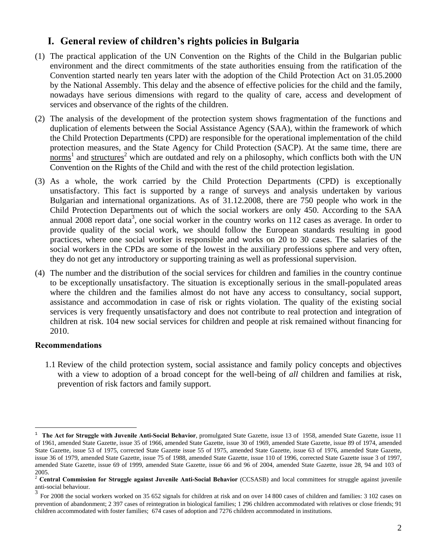## **I. General review of children's rights policies in Bulgaria**

- (1) The practical application of the UN Convention on the Rights of the Child in the Bulgarian public environment and the direct commitments of the state authorities ensuing from the ratification of the Convention started nearly ten years later with the adoption of the Child Protection Act on 31.05.2000 by the National Assembly. This delay and the absence of effective policies for the child and the family, nowadays have serious dimensions with regard to the quality of care, access and development of services and observance of the rights of the children.
- (2) The analysis of the development of the protection system shows fragmentation of the functions and duplication of elements between the Social Assistance Agency (SAA), within the framework of which the Child Protection Departments (CPD) are responsible for the operational implementation of the child protection measures, and the State Agency for Child Protection (SACP). At the same time, there are  $\frac{1}{2}$  and structures<sup>2</sup> which are outdated and rely on a philosophy, which conflicts both with the UN Convention on the Rights of the Child and with the rest of the child protection legislation.
- (3) As a whole, the work carried by the Child Protection Departments (CPD) is exceptionally unsatisfactory. This fact is supported by a range of surveys and analysis undertaken by various Bulgarian and international organizations. As of 31.12.2008, there are 750 people who work in the Child Protection Departments out of which the social workers are only 450. According to the SAA annual 2008 report data<sup>3</sup>, one social worker in the country works on 112 cases as average. In order to provide quality of the social work, we should follow the European standards resulting in good practices, where one social worker is responsible and works on 20 to 30 cases. The salaries of the social workers in the CPDs are some of the lowest in the auxiliary professions sphere and very often, they do not get any introductory or supporting training as well as professional supervision.
- (4) The number and the distribution of the social services for children and families in the country continue to be exceptionally unsatisfactory. The situation is exceptionally serious in the small-populated areas where the children and the families almost do not have any access to consultancy, social support, assistance and accommodation in case of risk or rights violation. The quality of the existing social services is very frequently unsatisfactory and does not contribute to real protection and integration of children at risk. 104 new social services for children and people at risk remained without financing for 2010.

### **Recommendations**

 $\overline{a}$ 

1.1 Review of the child protection system, social assistance and family policy concepts and objectives with a view to adoption of a broad concept for the well-being of *all* children and families at risk, prevention of risk factors and family support.

<sup>&</sup>lt;sup>1</sup> **The Act for Struggle with Juvenile Anti-Social Behavior**, promulgated State Gazette, issue 13 of 1958, amended State Gazette, issue 11 of 1961, amended State Gazette, issue 35 of 1966, amended State Gazette, issue 30 of 1969, amended State Gazette, issue 89 of 1974, amended State Gazette, issue 53 of 1975, corrected State Gazette issue 55 of 1975, amended State Gazette, issue 63 of 1976, amended State Gazette, issue 36 of 1979, amended State Gazette, issue 75 of 1988, amended State Gazette, issue 110 of 1996, corrected State Gazette issue 3 of 1997, amended State Gazette, issue 69 of 1999, amended State Gazette, issue 66 and 96 of 2004, amended State Gazette, issue 28, 94 and 103 of  $^{2005.}$ 

<sup>2</sup> **Central Commission for Struggle against Juvenile Anti-Social Behavior** (CCSASB) and local committees for struggle against juvenile anti-social behaviour.

<sup>&</sup>lt;sup>3</sup> For 2008 the social workers worked on 35 652 signals for children at risk and on over 14 800 cases of children and families: 3 102 cases on prevention of abandonment; 2 397 cases of reintegration in biological families; 1 296 children accommodated with relatives or close friends; 91 children accommodated with foster families; 674 cases of adoption and 7276 children accommodated in institutions.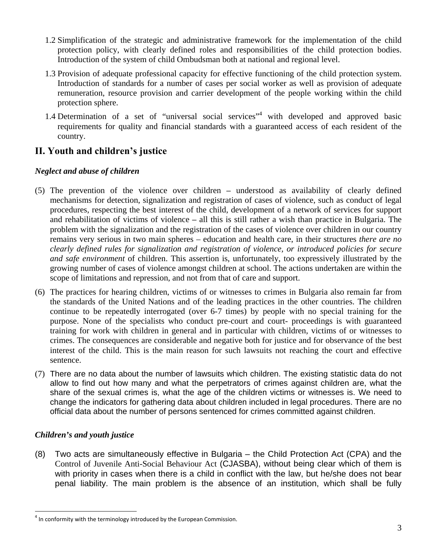- 1.2 Simplification of the strategic and administrative framework for the implementation of the child protection policy, with clearly defined roles and responsibilities of the child protection bodies. Introduction of the system of child Ombudsman both at national and regional level.
- 1.3 Provision of adequate professional capacity for effective functioning of the child protection system. Introduction of standards for a number of cases per social worker as well as provision of adequate remuneration, resource provision and carrier development of the people working within the child protection sphere.
- 1.4 Determination of a set of "universal social services"<sup>4</sup> with developed and approved basic requirements for quality and financial standards with a guaranteed access of each resident of the country.

# **ІІ. Youth and children's justice**

### *Neglect and abuse of children*

- (5) The prevention of the violence over children understood as availability of clearly defined mechanisms for detection, signalization and registration of cases of violence, such as conduct of legal procedures, respecting the best interest of the child, development of a network of services for support and rehabilitation of victims of violence **–** all this is still rather a wish than practice in Bulgaria. The problem with the signalization and the registration of the cases of violence over children in our country remains very serious in two main spheres – education and health care, in their structures *there are no clearly defined rules for signalization and registration of violence, or introduced policies for secure and safe environment* of children. This assertion is, unfortunately, too expressively illustrated by the growing number of cases of violence amongst children at school. The actions undertaken are within the scope of limitations and repression, and not from that of care and support.
- (6) The practices for hearing children, victims of or witnesses to crimes in Bulgaria also remain far from the standards of the United Nations and of the leading practices in the other countries. The children continue to be repeatedly interrogated (over 6-7 times) by people with no special training for the purpose. None of the specialists who conduct pre-court and court- proceedings is with guaranteed training for work with children in general and in particular with children, victims of or witnesses to crimes. The consequences are considerable and negative both for justice and for observance of the best interest of the child. This is the main reason for such lawsuits not reaching the court and effective sentence.
- (7) There are no data about the number of lawsuits which children. The existing statistic data do not allow to find out how many and what the perpetrators of crimes against children are, what the share of the sexual crimes is, what the age of the children victims or witnesses is. We need to change the indicators for gathering data about children included in legal procedures. There are no official data about the number of persons sentenced for crimes committed against children.

### *Children's and youth justice*

 $\overline{a}$ 

(8) Two acts are simultaneously effective in Bulgaria – the Child Protection Act (CPA) and the Control of Juvenile Anti-Social Behaviour Act (CJASBA), without being clear which of them is with priority in cases when there is a child in conflict with the law, but he/she does not bear penal liability. The main problem is the absence of an institution, which shall be fully

 $4$  In conformity with the terminology introduced by the European Commission.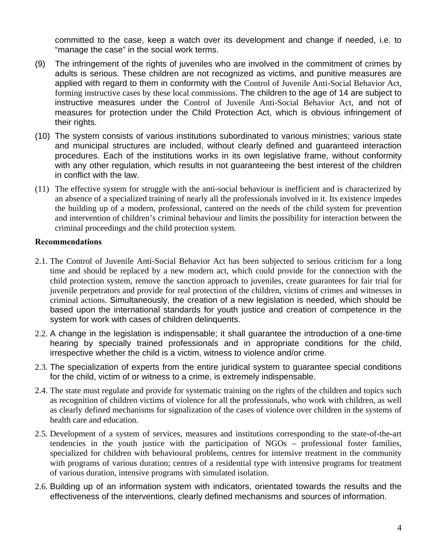committed to the case, keep a watch over its development and change if needed, i.e. to "manage the case" in the social work terms.

- (9) The infringement of the rights of juveniles who are involved in the commitment of crimes by adults is serious. These children are not recognized as victims, and punitive measures are applied with regard to them in conformity with the Control of Juvenile Anti-Social Behavior Act, forming instructive cases by these local commissions. The children to the age of 14 are subject to instructive measures under the Control of Juvenile Anti-Social Behavior Act, and not of measures for protection under the Child Protection Act, which is obvious infringement of their rights.
- (10) The system consists of various institutions subordinated to various ministries; various state and municipal structures are included, without clearly defined and guaranteed interaction procedures. Each of the institutions works in its own legislative frame, without conformity with any other regulation, which results in not guaranteeing the best interest of the children in conflict with the law.
- (11) The effective system for struggle with the anti-social behaviour is inefficient and is characterized by an absence of a specialized training of nearly all the professionals involved in it. Its existence impedes the building up of a modern, professional, cantered on the needs of the child system for prevention and intervention of children's criminal behaviour and limits the possibility for interaction between the criminal proceedings and the child protection system.

### **Recommendations**

- 2.1. The Control of Juvenile Anti-Social Behavior Act has been subjected to serious criticism for a long time and should be replaced by a new modern act, which could provide for the connection with the child protection system, remove the sanction approach to juveniles, create guarantees for fair trial for juvenile perpetrators and provide for real protection of the children, victims of crimes and witnesses in criminal actions. Simultaneously, the creation of a new legislation is needed, which should be based upon the international standards for youth justice and creation of competence in the system for work with cases of children delinquents.
- 2.2. A change in the legislation is indispensable; it shall guarantee the introduction of a one-time hearing by specially trained professionals and in appropriate conditions for the child, irrespective whether the child is a victim, witness to violence and/or crime.
- 2.3. The specialization of experts from the entire juridical system to guarantee special conditions for the child, victim of or witness to a crime, is extremely indispensable.
- 2.4. The state must regulate and provide for systematic training on the rights of the children and topics such as recognition of children victims of violence for all the professionals, who work with children, as well as clearly defined mechanisms for signalization of the cases of violence over children in the systems of health care and education.
- 2.5. Development of a system of services, measures and institutions corresponding to the state-of-the-art tendencies in the youth justice with the participation of NGOs – professional foster families, specialized for children with behavioural problems, centres for intensive treatment in the community with programs of various duration; centres of a residential type with intensive programs for treatment of various duration, intensive programs with simulated isolation.
- 2.6. Building up of an information system with indicators, orientated towards the results and the effectiveness of the interventions, clearly defined mechanisms and sources of information.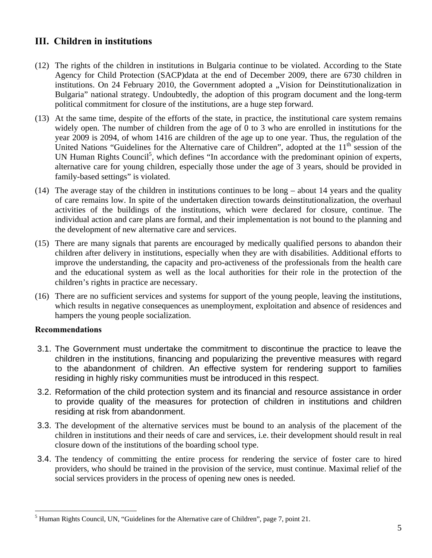# **ІІІ. Children in institutions**

- (12) The rights of the children in institutions in Bulgaria continue to be violated. According to the State Agency for Child Protection (SACP)data at the end of December 2009, there are 6730 children in institutions. On 24 February 2010, the Government adopted a "Vision for Deinstitutionalization in Bulgaria" national strategy. Undoubtedly, the adoption of this program document and the long-term political commitment for closure of the institutions, are a huge step forward.
- (13) At the same time, despite of the efforts of the state, in practice, the institutional care system remains widely open. The number of children from the age of 0 to 3 who are enrolled in institutions for the year 2009 is 2094, of whom 1416 are children of the age up to one year. Thus, the regulation of the United Nations "Guidelines for the Alternative care of Children", adopted at the 11<sup>th</sup> session of the UN Human Rights Council<sup>5</sup>, which defines "In accordance with the predominant opinion of experts, alternative care for young children, especially those under the age of 3 years, should be provided in family-based settings" is violated.
- (14) The average stay of the children in institutions continues to be long about 14 years and the quality of care remains low. In spite of the undertaken direction towards deinstitutionalization, the overhaul activities of the buildings of the institutions, which were declared for closure, continue. The individual action and care plans are formal, and their implementation is not bound to the planning and the development of new alternative care and services.
- (15) There are many signals that parents are encouraged by medically qualified persons to abandon their children after delivery in institutions, especially when they are with disabilities. Additional efforts to improve the understanding, the capacity and pro-activeness of the professionals from the health care and the educational system as well as the local authorities for their role in the protection of the children's rights in practice are necessary.
- (16) There are no sufficient services and systems for support of the young people, leaving the institutions, which results in negative consequences as unemployment, exploitation and absence of residences and hampers the young people socialization.

### **Recommendations**

 $\overline{a}$ 

- 3.1. The Government must undertake the commitment to discontinue the practice to leave the children in the institutions, financing and popularizing the preventive measures with regard to the abandonment of children. An effective system for rendering support to families residing in highly risky communities must be introduced in this respect.
- 3.2. Reformation of the child protection system and its financial and resource assistance in order to provide quality of the measures for protection of children in institutions and children residing at risk from abandonment.
- 3.3. The development of the alternative services must be bound to an analysis of the placement of the children in institutions and their needs of care and services, i.e. their development should result in real closure down of the institutions of the boarding school type.
- 3.4. The tendency of committing the entire process for rendering the service of foster care to hired providers, who should be trained in the provision of the service, must continue. Maximal relief of the social services providers in the process of opening new ones is needed.

<sup>&</sup>lt;sup>5</sup> Human Rights Council, UN, "Guidelines for the Alternative care of Children", page 7, point 21.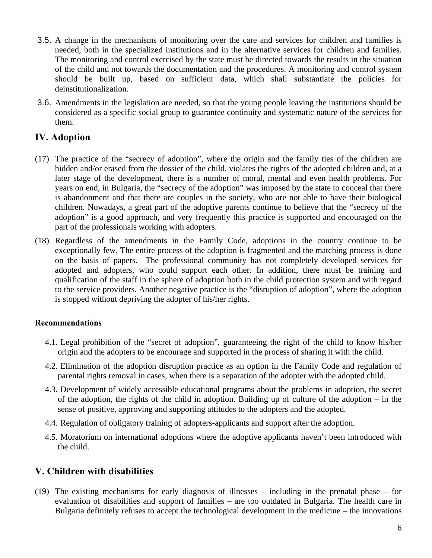- 3.5. A change in the mechanisms of monitoring over the care and services for children and families is needed, both in the specialized institutions and in the alternative services for children and families. The monitoring and control exercised by the state must be directed towards the results in the situation of the child and not towards the documentation and the procedures. A monitoring and control system should be built up, based on sufficient data, which shall substantiate the policies for deinstitutionalization.
- 3.6. Amendments in the legislation are needed, so that the young people leaving the institutions should be considered as a specific social group to guarantee continuity and systematic nature of the services for them.

### **ІV. Adoption**

- (17) The practice of the "secrecy of adoption", where the origin and the family ties of the children are hidden and/or erased from the dossier of the child, violates the rights of the adopted children and, at a later stage of the development, there is a number of moral, mental and even health problems. For years on end, in Bulgaria, the "secrecy of the adoption" was imposed by the state to conceal that there is abandonment and that there are couples in the society, who are not able to have their biological children. Nowadays, a great part of the adoptive parents continue to believe that the "secrecy of the adoption" is a good approach, and very frequently this practice is supported and encouraged on the part of the professionals working with adopters.
- (18) Regardless of the amendments in the Family Code, adoptions in the country continue to be exceptionally few. The entire process of the adoption is fragmented and the matching process is done on the basis of papers. The professional community has not completely developed services for adopted and adopters, who could support each other. In addition, there must be training and qualification of the staff in the sphere of adoption both in the child protection system and with regard to the service providers. Another negative practice is the "disruption of adoption", where the adoption is stopped without depriving the adopter of his/her rights.

### **Recommendations**

- 4.1. Legal prohibition of the "secret of adoption", guaranteeing the right of the child to know his/her origin and the adopters to be encourage and supported in the process of sharing it with the child.
- 4.2. Elimination of the adoption disruption practice as an option in the Family Code and regulation of parental rights removal in cases, when there is a separation of the adopter with the adopted child.
- 4.3. Development of widely accessible educational programs about the problems in adoption, the secret of the adoption, the rights of the child in adoption. Building up of culture of the adoption – in the sense of positive, approving and supporting attitudes to the adopters and the adopted.
- 4.4. Regulation of obligatory training of adopters-applicants and support after the adoption.
- 4.5. Moratorium on international adoptions where the adoptive applicants haven't been introduced with the child.

# **V. Children with disabilities**

(19) The existing mechanisms for early diagnosis of illnesses – including in the prenatal phase – for evaluation of disabilities and support of families – are too outdated in Bulgaria. The health care in Bulgaria definitely refuses to accept the technological development in the medicine – the innovations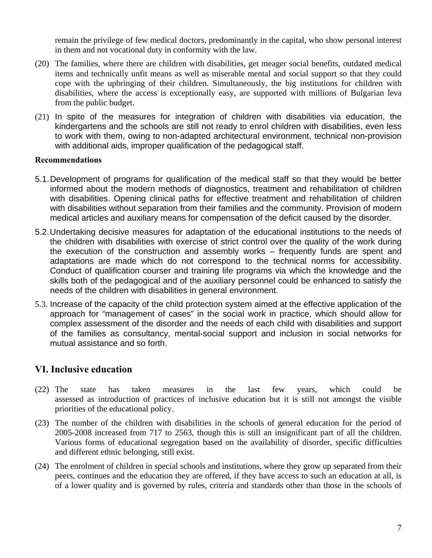remain the privilege of few medical doctors, predominantly in the capital, who show personal interest in them and not vocational duty in conformity with the law.

- (20) The families, where there are children with disabilities, get meager social benefits, outdated medical items and technically unfit means as well as miserable mental and social support so that they could cope with the upbringing of their children. Simultaneously, the big institutions for children with disabilities, where the access is exceptionally easy, are supported with millions of Bulgarian leva from the public budget.
- (21) In spite of the measures for integration of children with disabilities via education, the kindergartens and the schools are still not ready to enrol children with disabilities, even less to work with them, owing to non-adapted architectural environment, technical non-provision with additional aids, improper qualification of the pedagogical staff.

#### **Recommendations**

- 5.1. Development of programs for qualification of the medical staff so that they would be better informed about the modern methods of diagnostics, treatment and rehabilitation of children with disabilities. Opening clinical paths for effective treatment and rehabilitation of children with disabilities without separation from their families and the community. Provision of modern medical articles and auxiliary means for compensation of the deficit caused by the disorder.
- 5.2. Undertaking decisive measures for adaptation of the educational institutions to the needs of the children with disabilities with exercise of strict control over the quality of the work during the execution of the construction and assembly works – frequently funds are spent and adaptations are made which do not correspond to the technical norms for accessibility. Conduct of qualification courser and training life programs via which the knowledge and the skills both of the pedagogical and of the auxiliary personnel could be enhanced to satisfy the needs of the children with disabilities in general environment.
- 5.3. Increase of the capacity of the child protection system aimed at the effective application of the approach for "management of cases" in the social work in practice, which should allow for complex assessment of the disorder and the needs of each child with disabilities and support of the families as consultancy, mental-social support and inclusion in social networks for mutual assistance and so forth.

### **VІ. Inclusive education**

- (22) The state has taken measures in the last few years, which could be assessed as introduction of practices of inclusive education but it is still not amongst the visible priorities of the educational policy.
- (23) The number of the children with disabilities in the schools of general education for the period of 2005-2008 increased from 717 to 2563, though this is still an insignificant part of all the children. Various forms of educational segregation based on the availability of disorder, specific difficulties and different ethnic belonging, still exist.
- (24) The enrolment of children in special schools and institutions, where they grow up separated from their peers, continues and the education they are offered, if they have access to such an education at all, is of a lower quality and is governed by rules, criteria and standards other than those in the schools of